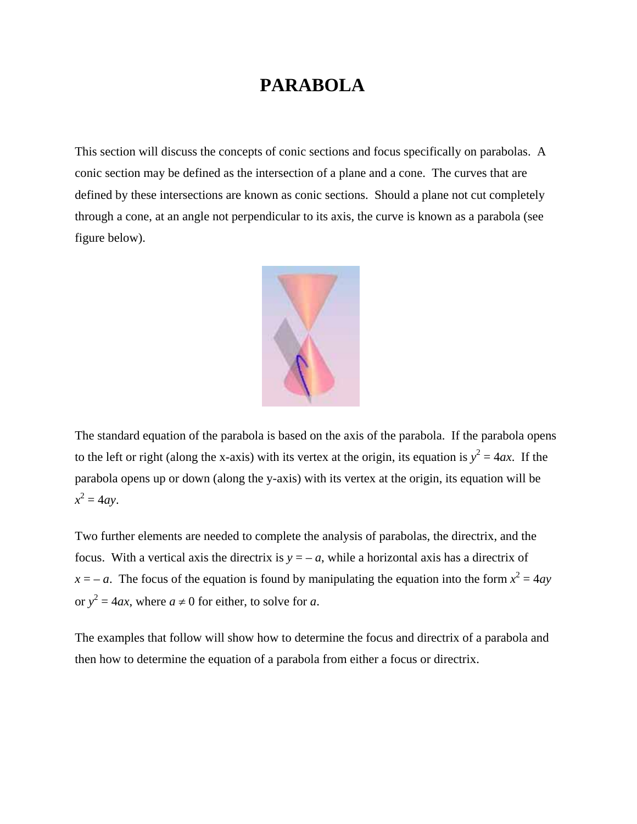## **PARABOLA**

This section will discuss the concepts of conic sections and focus specifically on parabolas. A conic section may be defined as the intersection of a plane and a cone. The curves that are defined by these intersections are known as conic sections. Should a plane not cut completely through a cone, at an angle not perpendicular to its axis, the curve is known as a parabola (see figure below).



The standard equation of the parabola is based on the axis of the parabola. If the parabola opens to the left or right (along the x-axis) with its vertex at the origin, its equation is  $y^2 = 4ax$ . If the parabola opens up or down (along the y-axis) with its vertex at the origin, its equation will be  $x^2 = 4ay$ .

Two further elements are needed to complete the analysis of parabolas, the directrix, and the focus. With a vertical axis the directrix is  $y = -a$ , while a horizontal axis has a directrix of  $x = -a$ . The focus of the equation is found by manipulating the equation into the form  $x^2 = 4ay$ or  $y^2 = 4ax$ , where  $a \neq 0$  for either, to solve for *a*.

The examples that follow will show how to determine the focus and directrix of a parabola and then how to determine the equation of a parabola from either a focus or directrix.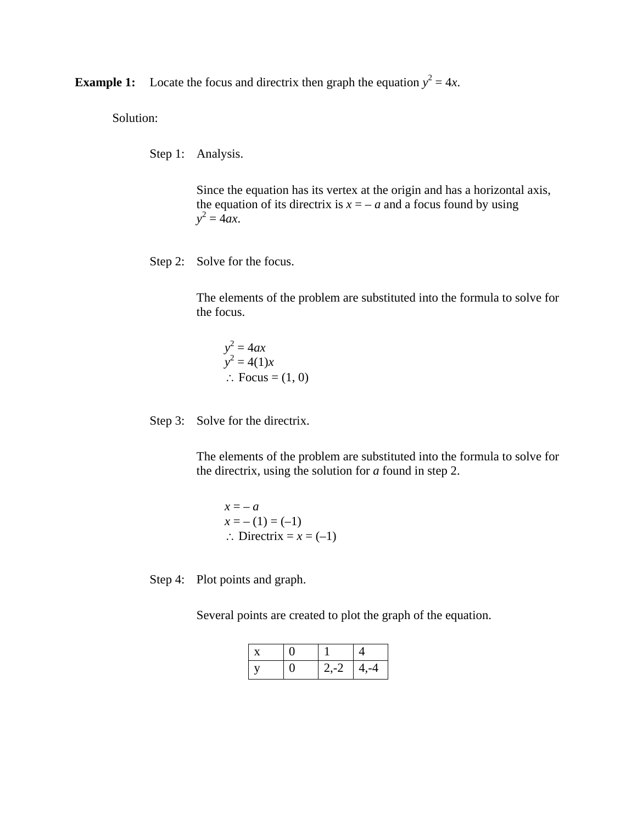**Example 1:** Locate the focus and directrix then graph the equation  $y^2 = 4x$ .

Solution:

Step 1: Analysis.

 Since the equation has its vertex at the origin and has a horizontal axis, the equation of its directrix is  $x = -a$  and a focus found by using *y*  $x^2 = 4ax$ .

Step 2: Solve for the focus.

 The elements of the problem are substituted into the formula to solve for the focus.

$$
y^2 = 4ax
$$
  
\n $y^2 = 4(1)x$   
\n∴ Focus = (1, 0)

Step 3: Solve for the directrix.

 The elements of the problem are substituted into the formula to solve for the directrix, using the solution for *a* found in step 2.

$$
x = -a
$$
  
\n
$$
x = -(1) = (-1)
$$
  
\n
$$
\therefore \text{ Directrix} = x = (-1)
$$

Step 4: Plot points and graph.

Several points are created to plot the graph of the equation.

|  | $2,-2$ | $4, -4$ |
|--|--------|---------|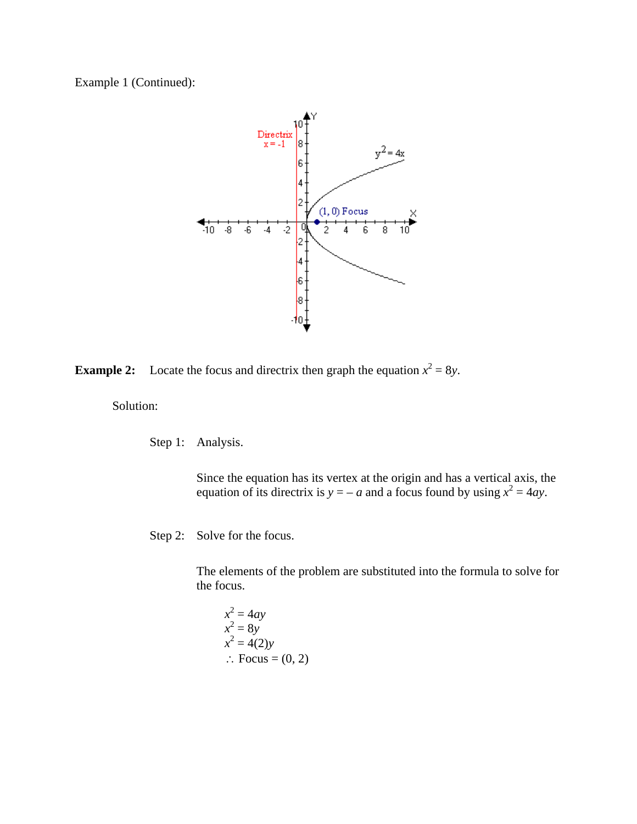Example 1 (Continued):



**Example 2:** Locate the focus and directrix then graph the equation  $x^2 = 8y$ .

Solution:

Step 1: Analysis.

Since the equation has its vertex at the origin and has a vertical axis, the equation of its directrix is  $y = -a$  and a focus found by using  $x^2 = 4ay$ .

Step 2: Solve for the focus.

The elements of the problem are substituted into the formula to solve for the focus.

$$
x2 = 4ay
$$
  
\n
$$
x2 = 8y
$$
  
\n
$$
x2 = 4(2)y
$$
  
\n
$$
\therefore
$$
 Focus = (0, 2)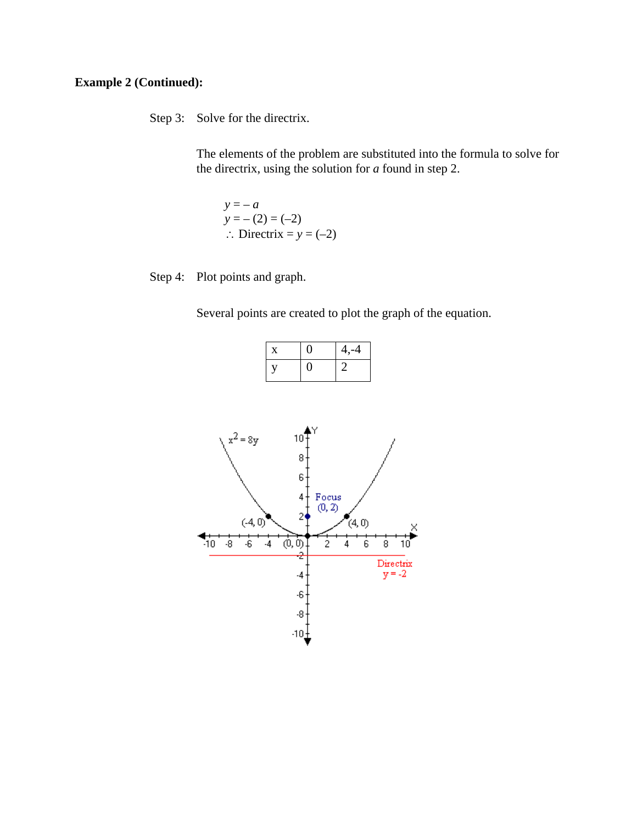## **Example 2 (Continued):**

Step 3: Solve for the directrix.

The elements of the problem are substituted into the formula to solve for the directrix, using the solution for *a* found in step 2.

 $y = -a$  $y = -(2) = (-2)$ ∴ Directrix =  $y = (-2)$ 

Step 4: Plot points and graph.

Several points are created to plot the graph of the equation.

| X. | $4, -4$ |
|----|---------|
|    |         |

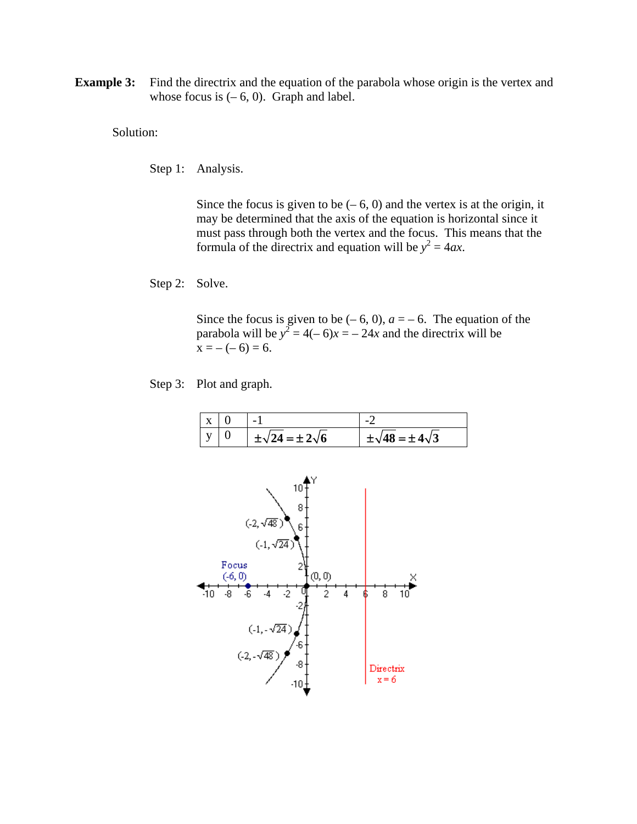**Example 3:** Find the directrix and the equation of the parabola whose origin is the vertex and whose focus is  $(-6, 0)$ . Graph and label.

Solution:

Step 1: Analysis.

Since the focus is given to be  $(-6, 0)$  and the vertex is at the origin, it may be determined that the axis of the equation is horizontal since it must pass through both the vertex and the focus. This means that the formula of the directrix and equation will be  $y^2 = 4ax$ .

Step 2: Solve.

Since the focus is given to be  $(-6, 0)$ ,  $a = -6$ . The equation of the parabola will be  $y^2 = 4(-6)x = -24x$  and the directrix will be  $x = -(-6) = 6.$ 

Step 3: Plot and graph.

| $\mathbf{X}$ | $\overline{\phantom{0}}$    |                              |
|--------------|-----------------------------|------------------------------|
|              | $\pm\sqrt{24}=\pm2\sqrt{6}$ | $\pm\sqrt{48}=\pm 4\sqrt{3}$ |